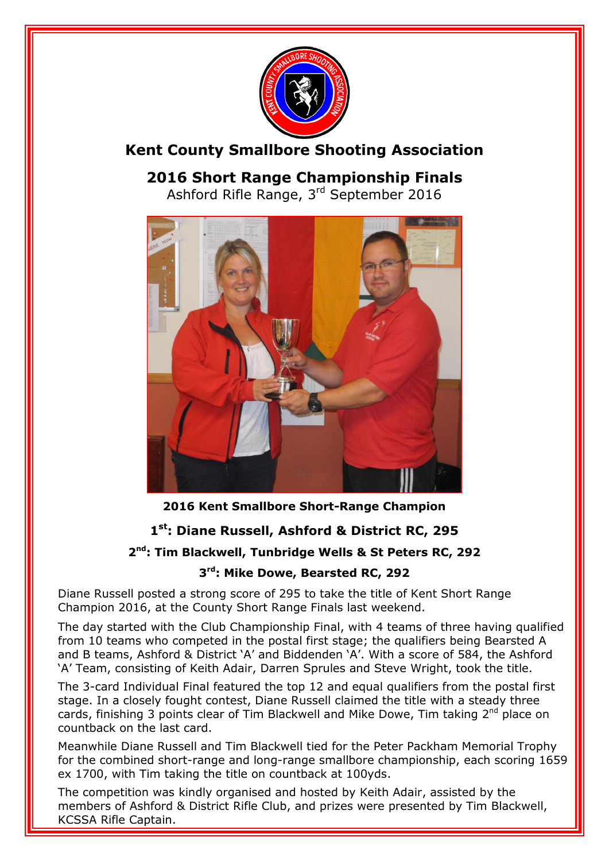

#### **Kent County Smallbore Shooting Association**

### **2016 Short Range Championship Finals**

Ashford Rifle Range, 3<sup>rd</sup> September 2016



**2016 Kent Smallbore Short-Range Champion**

#### **1 st: Diane Russell, Ashford & District RC, 295**

#### **2 nd: Tim Blackwell, Tunbridge Wells & St Peters RC, 292**

#### **3 rd: Mike Dowe, Bearsted RC, 292**

Diane Russell posted a strong score of 295 to take the title of Kent Short Range Champion 2016, at the County Short Range Finals last weekend.

The day started with the Club Championship Final, with 4 teams of three having qualified from 10 teams who competed in the postal first stage; the qualifiers being Bearsted A and B teams, Ashford & District 'A' and Biddenden 'A'. With a score of 584, the Ashford 'A' Team, consisting of Keith Adair, Darren Sprules and Steve Wright, took the title.

The 3-card Individual Final featured the top 12 and equal qualifiers from the postal first stage. In a closely fought contest, Diane Russell claimed the title with a steady three cards, finishing 3 points clear of Tim Blackwell and Mike Dowe, Tim taking 2<sup>nd</sup> place on countback on the last card.

Meanwhile Diane Russell and Tim Blackwell tied for the Peter Packham Memorial Trophy for the combined short-range and long-range smallbore championship, each scoring 1659 ex 1700, with Tim taking the title on countback at 100yds.

The competition was kindly organised and hosted by Keith Adair, assisted by the members of Ashford & District Rifle Club, and prizes were presented by Tim Blackwell, KCSSA Rifle Captain.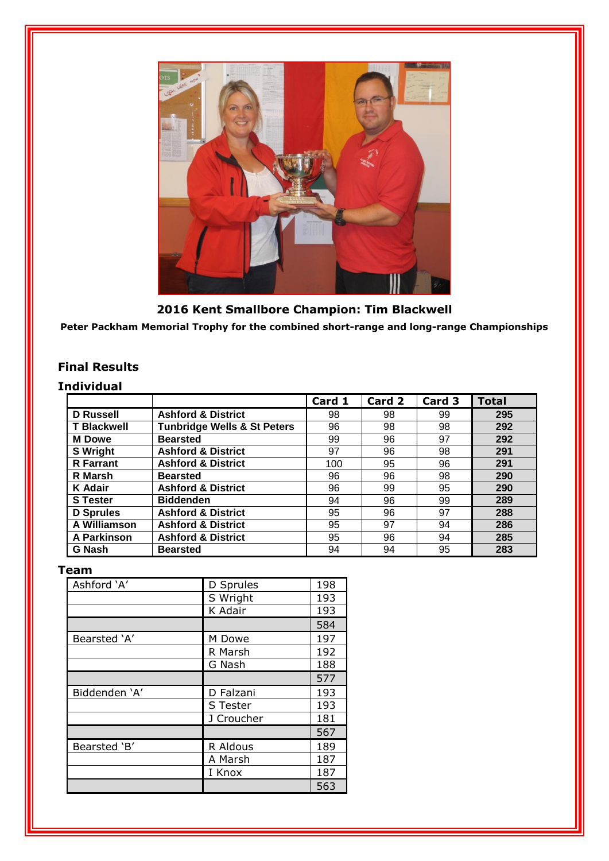

**2016 Kent Smallbore Champion: Tim Blackwell Peter Packham Memorial Trophy for the combined short-range and long-range Championships**

#### **Final Results**

#### **Individual**

|                    |                                        | Card 1 | Card 2 | Card 3 | <b>Total</b> |
|--------------------|----------------------------------------|--------|--------|--------|--------------|
| <b>D</b> Russell   | <b>Ashford &amp; District</b>          | 98     | 98     | 99     | 295          |
| <b>T Blackwell</b> | <b>Tunbridge Wells &amp; St Peters</b> | 96     | 98     | 98     | 292          |
| <b>M</b> Dowe      | <b>Bearsted</b>                        | 99     | 96     | 97     | 292          |
| <b>S</b> Wright    | <b>Ashford &amp; District</b>          | 97     | 96     | 98     | 291          |
| <b>R</b> Farrant   | <b>Ashford &amp; District</b>          | 100    | 95     | 96     | 291          |
| <b>R</b> Marsh     | <b>Bearsted</b>                        | 96     | 96     | 98     | 290          |
| K Adair            | <b>Ashford &amp; District</b>          | 96     | 99     | 95     | 290          |
| <b>S</b> Tester    | <b>Biddenden</b>                       | 94     | 96     | 99     | 289          |
| <b>D</b> Sprules   | <b>Ashford &amp; District</b>          | 95     | 96     | 97     | 288          |
| A Williamson       | <b>Ashford &amp; District</b>          | 95     | 97     | 94     | 286          |
| A Parkinson        | <b>Ashford &amp; District</b>          | 95     | 96     | 94     | 285          |
| <b>G Nash</b>      | <b>Bearsted</b>                        | 94     | 94     | 95     | 283          |

#### **Team**

| Ashford 'A'   | D Sprules  | 198 |
|---------------|------------|-----|
|               | S Wright   | 193 |
|               | K Adair    | 193 |
|               |            | 584 |
| Bearsted 'A'  | M Dowe     | 197 |
|               | R Marsh    | 192 |
|               | G Nash     | 188 |
|               |            | 577 |
| Biddenden 'A' | D Falzani  | 193 |
|               | S Tester   | 193 |
|               | J Croucher | 181 |
|               |            | 567 |
| Bearsted 'B'  | R Aldous   | 189 |
|               | A Marsh    | 187 |
|               | I Knox     | 187 |
|               |            | 563 |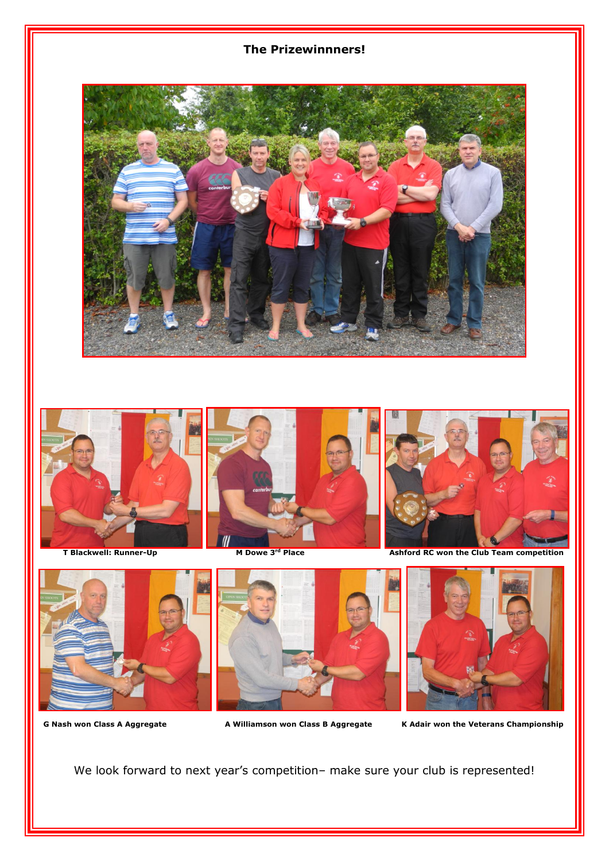#### **The Prizewinnners!**











G Nash won Class A Aggregate **A Williamson won Class B Aggregate** K Adair won the Veterans Championship

We look forward to next year's competition– make sure your club is represented!